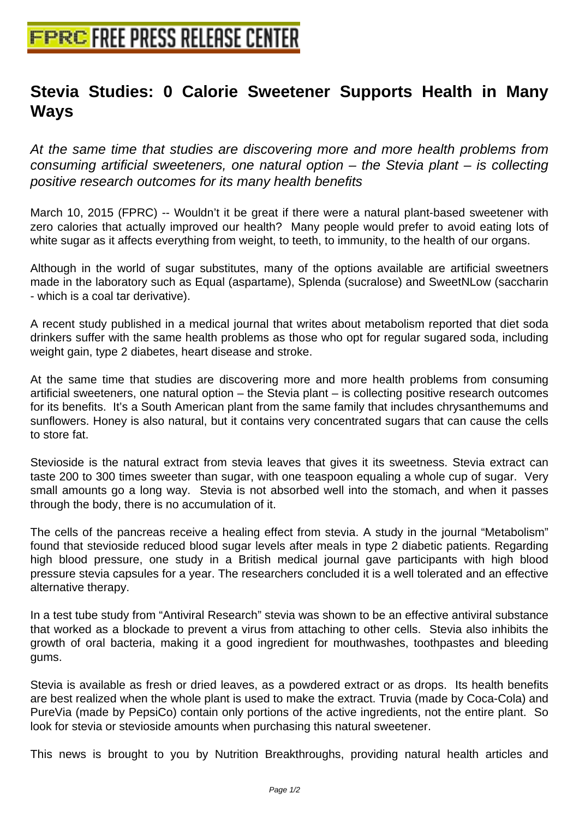## **[Stevia Studies: 0 Calorie Sweete](http://www.free-press-release-center.info)ner Supports Health in Many Ways**

At the same time that studies are discovering more and more health problems from consuming artificial sweeteners, one natural option  $-$  the Stevia plant  $-$  is collecting positive research outcomes for its many health benefits

March 10, 2015 (FPRC) -- Wouldn't it be great if there were a natural plant-based sweetener with zero calories that actually improved our health? Many people would prefer to avoid eating lots of white sugar as it affects everything from weight, to teeth, to immunity, to the health of our organs.

Although in the world of sugar substitutes, many of the options available are artificial sweetners made in the laboratory such as Equal (aspartame), Splenda (sucralose) and SweetNLow (saccharin - which is a coal tar derivative).

A recent study published in a medical journal that writes about metabolism reported that diet soda drinkers suffer with the same health problems as those who opt for regular sugared soda, including weight gain, type 2 diabetes, heart disease and stroke.

At the same time that studies are discovering more and more health problems from consuming artificial sweeteners, one natural option – the Stevia plant – is collecting positive research outcomes for its benefits. It's a South American plant from the same family that includes chrysanthemums and sunflowers. Honey is also natural, but it contains very concentrated sugars that can cause the cells to store fat.

Stevioside is the natural extract from stevia leaves that gives it its sweetness. Stevia extract can taste 200 to 300 times sweeter than sugar, with one teaspoon equaling a whole cup of sugar. Very small amounts go a long way. Stevia is not absorbed well into the stomach, and when it passes through the body, there is no accumulation of it.

The cells of the pancreas receive a healing effect from stevia. A study in the journal "Metabolism" found that stevioside reduced blood sugar levels after meals in type 2 diabetic patients. Regarding high blood pressure, one study in a British medical journal gave participants with high blood pressure stevia capsules for a year. The researchers concluded it is a well tolerated and an effective alternative therapy.

In a test tube study from "Antiviral Research" stevia was shown to be an effective antiviral substance that worked as a blockade to prevent a virus from attaching to other cells. Stevia also inhibits the growth of oral bacteria, making it a good ingredient for mouthwashes, toothpastes and bleeding gums.

Stevia is available as fresh or dried leaves, as a powdered extract or as drops. Its health benefits are best realized when the whole plant is used to make the extract. Truvia (made by Coca-Cola) and PureVia (made by PepsiCo) contain only portions of the active ingredients, not the entire plant. So look for stevia or stevioside amounts when purchasing this natural sweetener.

This news is brought to you by Nutrition Breakthroughs, providing natural health articles and